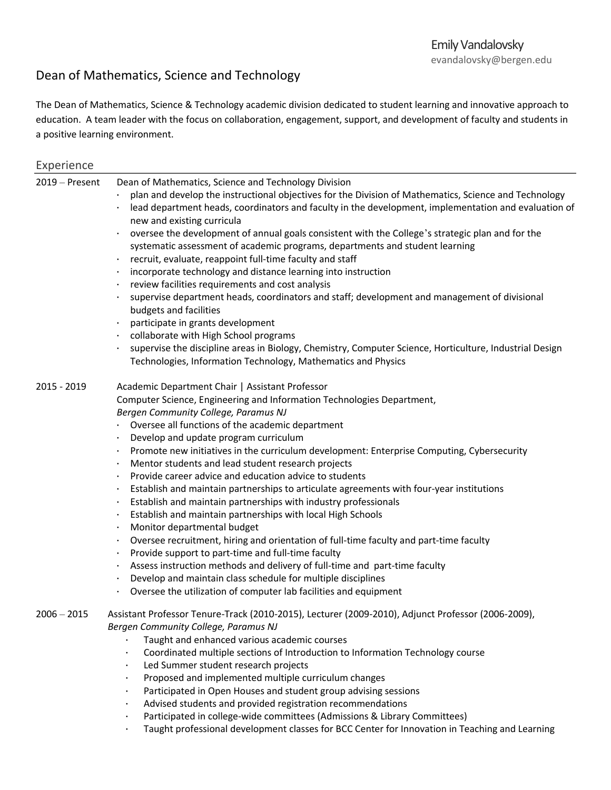## Dean of Mathematics, Science and Technology

The Dean of Mathematics, Science & Technology academic division dedicated to student learning and innovative approach to education. A team leader with the focus on collaboration, engagement, support, and development of faculty and students in a positive learning environment.

| Experience |
|------------|
|            |

| 2019 - Present | Dean of Mathematics, Science and Technology Division                                                                 |
|----------------|----------------------------------------------------------------------------------------------------------------------|
|                | plan and develop the instructional objectives for the Division of Mathematics, Science and Technology                |
|                | lead department heads, coordinators and faculty in the development, implementation and evaluation of                 |
|                | new and existing curricula                                                                                           |
|                | oversee the development of annual goals consistent with the College's strategic plan and for the                     |
|                | systematic assessment of academic programs, departments and student learning                                         |
|                | recruit, evaluate, reappoint full-time faculty and staff                                                             |
|                | incorporate technology and distance learning into instruction                                                        |
|                | review facilities requirements and cost analysis                                                                     |
|                | supervise department heads, coordinators and staff; development and management of divisional                         |
|                | budgets and facilities                                                                                               |
|                | participate in grants development                                                                                    |
|                | collaborate with High School programs                                                                                |
|                | supervise the discipline areas in Biology, Chemistry, Computer Science, Horticulture, Industrial Design<br>$\bullet$ |
|                | Technologies, Information Technology, Mathematics and Physics                                                        |
|                |                                                                                                                      |
| 2015 - 2019    | Academic Department Chair   Assistant Professor                                                                      |
|                | Computer Science, Engineering and Information Technologies Department,                                               |
|                | Bergen Community College, Paramus NJ                                                                                 |
|                | • Oversee all functions of the academic department                                                                   |
|                | Develop and update program curriculum<br>$\bullet$                                                                   |
|                | Promote new initiatives in the curriculum development: Enterprise Computing, Cybersecurity                           |
|                | Mentor students and lead student research projects                                                                   |
|                | Provide career advice and education advice to students                                                               |
|                | Establish and maintain partnerships to articulate agreements with four-year institutions<br>٠                        |
|                | Establish and maintain partnerships with industry professionals<br>٠                                                 |
|                | Establish and maintain partnerships with local High Schools<br>٠                                                     |
|                | Monitor departmental budget<br>$\bullet$                                                                             |
|                | Oversee recruitment, hiring and orientation of full-time faculty and part-time faculty<br>٠                          |
|                | Provide support to part-time and full-time faculty                                                                   |
|                | Assess instruction methods and delivery of full-time and part-time faculty                                           |
|                | Develop and maintain class schedule for multiple disciplines                                                         |
|                | Oversee the utilization of computer lab facilities and equipment<br>٠                                                |
|                |                                                                                                                      |
| $2006 - 2015$  | Assistant Professor Tenure-Track (2010-2015), Lecturer (2009-2010), Adjunct Professor (2006-2009),                   |
|                | Bergen Community College, Paramus NJ                                                                                 |
|                | Taught and enhanced various academic courses                                                                         |
|                | Coordinated multiple sections of Introduction to Information Technology course<br>$\bullet$                          |
|                | Led Summer student research projects<br>$\bullet$                                                                    |
|                | Proposed and implemented multiple curriculum changes<br>$\bullet$                                                    |
|                | Participated in Open Houses and student group advising sessions                                                      |
|                | Advised students and provided registration recommendations                                                           |
|                | Participated in college-wide committees (Admissions & Library Committees)                                            |
|                | Taught professional development classes for BCC Center for Innovation in Teaching and Learning                       |
|                |                                                                                                                      |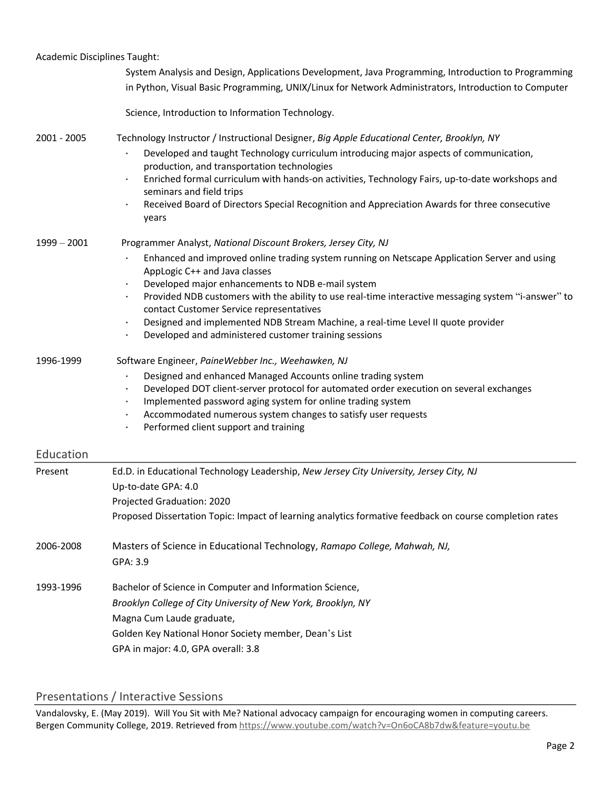| <b>Academic Disciplines Taught:</b> |                                                                                                                                                                     |
|-------------------------------------|---------------------------------------------------------------------------------------------------------------------------------------------------------------------|
|                                     | System Analysis and Design, Applications Development, Java Programming, Introduction to Programming                                                                 |
|                                     | in Python, Visual Basic Programming, UNIX/Linux for Network Administrators, Introduction to Computer                                                                |
|                                     | Science, Introduction to Information Technology.                                                                                                                    |
| 2001 - 2005                         | Technology Instructor / Instructional Designer, Big Apple Educational Center, Brooklyn, NY                                                                          |
|                                     | Developed and taught Technology curriculum introducing major aspects of communication,<br>production, and transportation technologies                               |
|                                     | Enriched formal curriculum with hands-on activities, Technology Fairs, up-to-date workshops and<br>$\bullet$<br>seminars and field trips                            |
|                                     | Received Board of Directors Special Recognition and Appreciation Awards for three consecutive<br>$\bullet$<br>years                                                 |
| $1999 - 2001$                       | Programmer Analyst, National Discount Brokers, Jersey City, NJ                                                                                                      |
|                                     | Enhanced and improved online trading system running on Netscape Application Server and using<br>AppLogic C++ and Java classes                                       |
|                                     | Developed major enhancements to NDB e-mail system                                                                                                                   |
|                                     | Provided NDB customers with the ability to use real-time interactive messaging system "i-answer" to<br>contact Customer Service representatives                     |
|                                     | Designed and implemented NDB Stream Machine, a real-time Level II quote provider<br>$\bullet$                                                                       |
|                                     | Developed and administered customer training sessions<br>$\bullet$                                                                                                  |
| 1996-1999                           | Software Engineer, PaineWebber Inc., Weehawken, NJ                                                                                                                  |
|                                     | Designed and enhanced Managed Accounts online trading system                                                                                                        |
|                                     | Developed DOT client-server protocol for automated order execution on several exchanges<br>$\bullet$<br>Implemented password aging system for online trading system |
|                                     | Accommodated numerous system changes to satisfy user requests                                                                                                       |
|                                     | Performed client support and training<br>$\bullet$                                                                                                                  |
| Education                           |                                                                                                                                                                     |
| Present                             | Ed.D. in Educational Technology Leadership, New Jersey City University, Jersey City, NJ                                                                             |
|                                     | Up-to-date GPA: 4.0                                                                                                                                                 |
|                                     | Projected Graduation: 2020                                                                                                                                          |
|                                     | Proposed Dissertation Topic: Impact of learning analytics formative feedback on course completion rates                                                             |
| 2006-2008                           | Masters of Science in Educational Technology, Ramapo College, Mahwah, NJ,                                                                                           |
|                                     | GPA: 3.9                                                                                                                                                            |
| 1993-1996                           | Bachelor of Science in Computer and Information Science,                                                                                                            |
|                                     | Brooklyn College of City University of New York, Brooklyn, NY                                                                                                       |
|                                     | Magna Cum Laude graduate,                                                                                                                                           |
|                                     | Golden Key National Honor Society member, Dean's List                                                                                                               |
|                                     | GPA in major: 4.0, GPA overall: 3.8                                                                                                                                 |

## Presentations / Interactive Sessions

Vandalovsky, E. (May 2019). Will You Sit with Me? National advocacy campaign for encouraging women in computing careers. Bergen Community College, 2019. Retrieved from<https://www.youtube.com/watch?v=On6oCA8b7dw&feature=youtu.be>